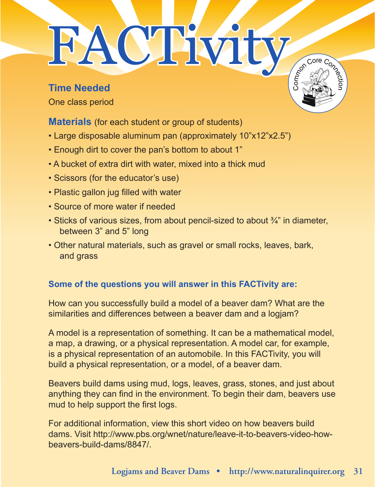## FACTivity

**Time Needed** One class period

**Materials** (for each student or group of students)

- Large disposable aluminum pan (approximately 10"x12"x2.5")
- Enough dirt to cover the pan's bottom to about 1"
- A bucket of extra dirt with water, mixed into a thick mud
- Scissors (for the educator's use)
- Plastic gallon jug filled with water
- Source of more water if needed
- Sticks of various sizes, from about pencil-sized to about  $\frac{3}{4}$ " in diameter, between 3" and 5" long
- Other natural materials, such as gravel or small rocks, leaves, bark, and grass

## **Some of the questions you will answer in this FACTivity are:**

How can you successfully build a model of a beaver dam? What are the similarities and differences between a beaver dam and a logjam?

A model is a representation of something. It can be a mathematical model, a map, a drawing, or a physical representation. A model car, for example, is a physical representation of an automobile. In this FACTivity, you will build a physical representation, or a model, of a beaver dam.

Beavers build dams using mud, logs, leaves, grass, stones, and just about anything they can find in the environment. To begin their dam, beavers use mud to help support the first logs.

For additional information, view this short video on how beavers build dams. Visit http://www.pbs.org/wnet/nature/leave-it-to-beavers-video-howbeavers-build-dams/8847/.

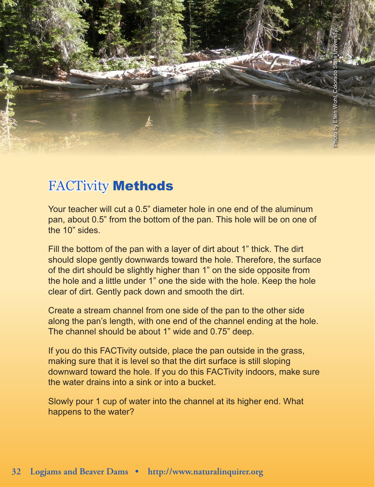## FACTivity Methods

Your teacher will cut a 0.5" diameter hole in one end of the aluminum pan, about 0.5" from the bottom of the pan. This hole will be on one of the 10" sides.

Fill the bottom of the pan with a layer of dirt about 1" thick. The dirt should slope gently downwards toward the hole. Therefore, the surface of the dirt should be slightly higher than 1" on the side opposite from the hole and a little under 1" one the side with the hole. Keep the hole clear of dirt. Gently pack down and smooth the dirt.

Create a stream channel from one side of the pan to the other side along the pan's length, with one end of the channel ending at the hole. The channel should be about 1" wide and 0.75" deep.

If you do this FACTivity outside, place the pan outside in the grass, making sure that it is level so that the dirt surface is still sloping downward toward the hole. If you do this FACTivity indoors, make sure the water drains into a sink or into a bucket.

Slowly pour 1 cup of water into the channel at its higher end. What happens to the water?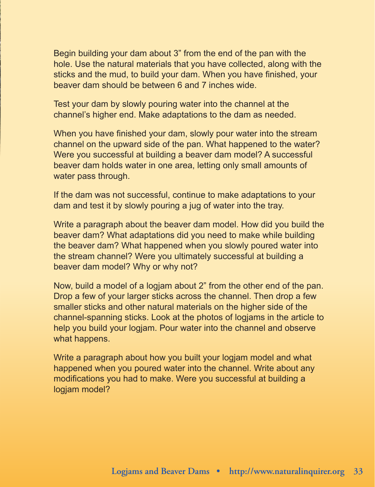Begin building your dam about 3" from the end of the pan with the hole. Use the natural materials that you have collected, along with the sticks and the mud, to build your dam. When you have finished, your beaver dam should be between 6 and 7 inches wide.

Test your dam by slowly pouring water into the channel at the channel's higher end. Make adaptations to the dam as needed.

When you have finished your dam, slowly pour water into the stream channel on the upward side of the pan. What happened to the water? Were you successful at building a beaver dam model? A successful beaver dam holds water in one area, letting only small amounts of water pass through.

If the dam was not successful, continue to make adaptations to your dam and test it by slowly pouring a jug of water into the tray.

Write a paragraph about the beaver dam model. How did you build the beaver dam? What adaptations did you need to make while building the beaver dam? What happened when you slowly poured water into the stream channel? Were you ultimately successful at building a beaver dam model? Why or why not?

Now, build a model of a logjam about 2" from the other end of the pan. Drop a few of your larger sticks across the channel. Then drop a few smaller sticks and other natural materials on the higher side of the channel-spanning sticks. Look at the photos of logjams in the article to help you build your logjam. Pour water into the channel and observe what happens.

Write a paragraph about how you built your logjam model and what happened when you poured water into the channel. Write about any modifications you had to make. Were you successful at building a logjam model?